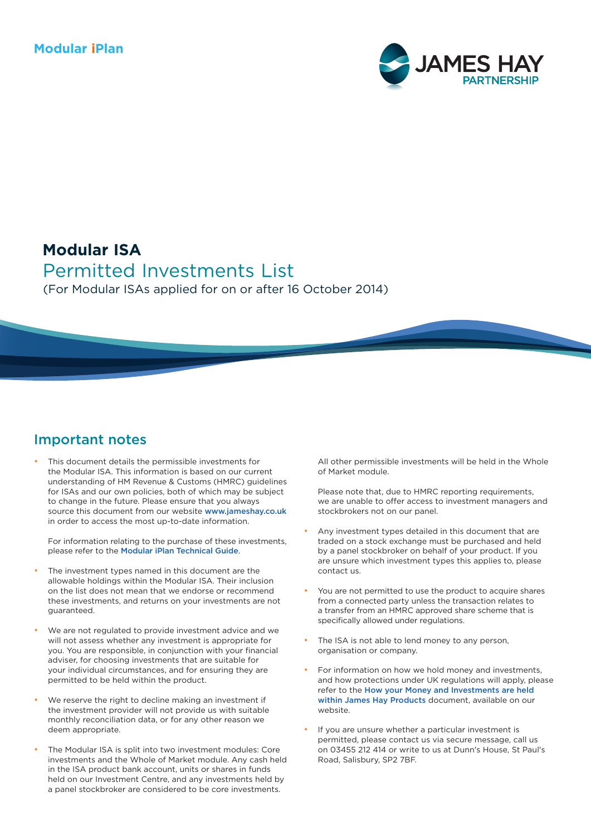#### **Modular iPlan**



# **Modular ISA**

Permitted Investments List (For Modular ISAs applied for on or after 16 October 2014)

#### Important notes

This document details the permissible investments for the Modular ISA. This information is based on our current understanding of HM Revenue & Customs (HMRC) guidelines for ISAs and our own policies, both of which may be subject to change in the future. Please ensure that you always source this document from our website [www.jameshay.co.uk](https://www.jameshay.co.uk/literature/modular-iplan-isipp/modular-isipp/) in order to access the most up-to-date information.

For information relating to the purchase of these investments, please refer to the [Modular iPlan Technical Guide](https://www.jameshay.co.uk/OldCMS/DocumentView.aspx?DocumentID=2992).

- The investment types named in this document are the allowable holdings within the Modular ISA. Their inclusion on the list does not mean that we endorse or recommend these investments, and returns on your investments are not guaranteed.
- We are not regulated to provide investment advice and we will not assess whether any investment is appropriate for you. You are responsible, in conjunction with your financial adviser, for choosing investments that are suitable for your individual circumstances, and for ensuring they are permitted to be held within the product.
- We reserve the right to decline making an investment if the investment provider will not provide us with suitable monthly reconciliation data, or for any other reason we deem appropriate.
- The Modular ISA is split into two investment modules: Core investments and the Whole of Market module. Any cash held in the ISA product bank account, units or shares in funds held on our Investment Centre, and any investments held by a panel stockbroker are considered to be core investments.

All other permissible investments will be held in the Whole of Market module.

Please note that, due to HMRC reporting requirements, we are unable to offer access to investment managers and stockbrokers not on our panel.

- Any investment types detailed in this document that are traded on a stock exchange must be purchased and held by a panel stockbroker on behalf of your product. If you are unsure which investment types this applies to, please contact us.
- You are not permitted to use the product to acquire shares from a connected party unless the transaction relates to a transfer from an HMRC approved share scheme that is specifically allowed under regulations.
- The ISA is not able to lend money to any person, organisation or company.
- For information on how we hold money and investments, and how protections under UK regulations will apply, please refer to the [How your Money and Investments are held](https://www.jameshay.co.uk/OldCMS/DocumentView.aspx?DocumentID=3024)  [within James Hay Products](https://www.jameshay.co.uk/OldCMS/DocumentView.aspx?DocumentID=3024) document, available on our website.
- If you are unsure whether a particular investment is permitted, please contact us via secure message, call us on 03455 212 414 or write to us at Dunn's House, St Paul's Road, Salisbury, SP2 7BF.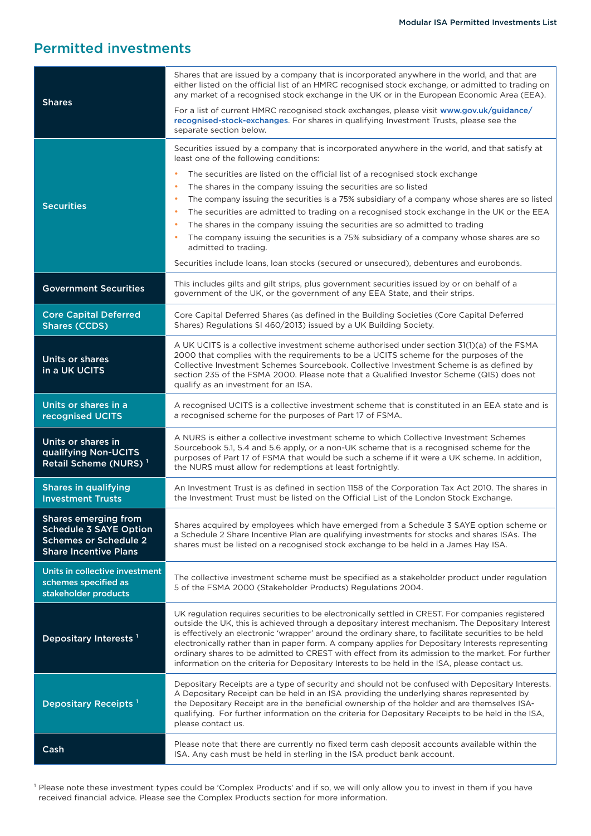## Permitted investments

| <b>Shares</b>                                                                                                         | Shares that are issued by a company that is incorporated anywhere in the world, and that are<br>either listed on the official list of an HMRC recognised stock exchange, or admitted to trading on<br>any market of a recognised stock exchange in the UK or in the European Economic Area (EEA).<br>For a list of current HMRC recognised stock exchanges, please visit www.gov.uk/guidance/                                                                                                                                                                                                                               |  |
|-----------------------------------------------------------------------------------------------------------------------|-----------------------------------------------------------------------------------------------------------------------------------------------------------------------------------------------------------------------------------------------------------------------------------------------------------------------------------------------------------------------------------------------------------------------------------------------------------------------------------------------------------------------------------------------------------------------------------------------------------------------------|--|
|                                                                                                                       | recognised-stock-exchanges. For shares in qualifying Investment Trusts, please see the<br>separate section below.                                                                                                                                                                                                                                                                                                                                                                                                                                                                                                           |  |
| <b>Securities</b>                                                                                                     | Securities issued by a company that is incorporated anywhere in the world, and that satisfy at<br>least one of the following conditions:                                                                                                                                                                                                                                                                                                                                                                                                                                                                                    |  |
|                                                                                                                       | The securities are listed on the official list of a recognised stock exchange                                                                                                                                                                                                                                                                                                                                                                                                                                                                                                                                               |  |
|                                                                                                                       | The shares in the company issuing the securities are so listed                                                                                                                                                                                                                                                                                                                                                                                                                                                                                                                                                              |  |
|                                                                                                                       | The company issuing the securities is a 75% subsidiary of a company whose shares are so listed                                                                                                                                                                                                                                                                                                                                                                                                                                                                                                                              |  |
|                                                                                                                       | The securities are admitted to trading on a recognised stock exchange in the UK or the EEA                                                                                                                                                                                                                                                                                                                                                                                                                                                                                                                                  |  |
|                                                                                                                       | The shares in the company issuing the securities are so admitted to trading                                                                                                                                                                                                                                                                                                                                                                                                                                                                                                                                                 |  |
|                                                                                                                       | The company issuing the securities is a 75% subsidiary of a company whose shares are so<br>admitted to trading.                                                                                                                                                                                                                                                                                                                                                                                                                                                                                                             |  |
|                                                                                                                       | Securities include loans, loan stocks (secured or unsecured), debentures and eurobonds.                                                                                                                                                                                                                                                                                                                                                                                                                                                                                                                                     |  |
| <b>Government Securities</b>                                                                                          | This includes gilts and gilt strips, plus government securities issued by or on behalf of a<br>government of the UK, or the government of any EEA State, and their strips.                                                                                                                                                                                                                                                                                                                                                                                                                                                  |  |
| <b>Core Capital Deferred</b><br><b>Shares (CCDS)</b>                                                                  | Core Capital Deferred Shares (as defined in the Building Societies (Core Capital Deferred<br>Shares) Regulations SI 460/2013) issued by a UK Building Society.                                                                                                                                                                                                                                                                                                                                                                                                                                                              |  |
| Units or shares<br>in a UK UCITS                                                                                      | A UK UCITS is a collective investment scheme authorised under section 31(1)(a) of the FSMA<br>2000 that complies with the requirements to be a UCITS scheme for the purposes of the<br>Collective Investment Schemes Sourcebook. Collective Investment Scheme is as defined by<br>section 235 of the FSMA 2000. Please note that a Qualified Investor Scheme (QIS) does not<br>qualify as an investment for an ISA.                                                                                                                                                                                                         |  |
|                                                                                                                       |                                                                                                                                                                                                                                                                                                                                                                                                                                                                                                                                                                                                                             |  |
| Units or shares in a<br>recognised UCITS                                                                              | A recognised UCITS is a collective investment scheme that is constituted in an EEA state and is<br>a recognised scheme for the purposes of Part 17 of FSMA.                                                                                                                                                                                                                                                                                                                                                                                                                                                                 |  |
| Units or shares in<br>qualifying Non-UCITS<br>Retail Scheme (NURS) <sup>1</sup>                                       | A NURS is either a collective investment scheme to which Collective Investment Schemes<br>Sourcebook 5.1, 5.4 and 5.6 apply, or a non-UK scheme that is a recognised scheme for the<br>purposes of Part 17 of FSMA that would be such a scheme if it were a UK scheme. In addition,<br>the NURS must allow for redemptions at least fortnightly.                                                                                                                                                                                                                                                                            |  |
| <b>Shares in qualifying</b><br><b>Investment Trusts</b>                                                               | An Investment Trust is as defined in section 1158 of the Corporation Tax Act 2010. The shares in<br>the Investment Trust must be listed on the Official List of the London Stock Exchange.                                                                                                                                                                                                                                                                                                                                                                                                                                  |  |
| Shares emerging from<br><b>Schedule 3 SAYE Option</b><br><b>Schemes or Schedule 2</b><br><b>Share Incentive Plans</b> | Shares acquired by employees which have emerged from a Schedule 3 SAYE option scheme or<br>a Schedule 2 Share Incentive Plan are qualifying investments for stocks and shares ISAs. The<br>shares must be listed on a recognised stock exchange to be held in a James Hay ISA.                                                                                                                                                                                                                                                                                                                                              |  |
| Units in collective investment<br>schemes specified as<br>stakeholder products                                        | The collective investment scheme must be specified as a stakeholder product under regulation<br>5 of the FSMA 2000 (Stakeholder Products) Regulations 2004.                                                                                                                                                                                                                                                                                                                                                                                                                                                                 |  |
| Depositary Interests <sup>1</sup>                                                                                     | UK regulation requires securities to be electronically settled in CREST. For companies registered<br>outside the UK, this is achieved through a depositary interest mechanism. The Depositary Interest<br>is effectively an electronic 'wrapper' around the ordinary share, to facilitate securities to be held<br>electronically rather than in paper form. A company applies for Depositary Interests representing<br>ordinary shares to be admitted to CREST with effect from its admission to the market. For further<br>information on the criteria for Depositary Interests to be held in the ISA, please contact us. |  |
| Depositary Receipts <sup>1</sup>                                                                                      | Depositary Receipts are a type of security and should not be confused with Depositary Interests.<br>A Depositary Receipt can be held in an ISA providing the underlying shares represented by<br>the Depositary Receipt are in the beneficial ownership of the holder and are themselves ISA-<br>qualifying. For further information on the criteria for Depositary Receipts to be held in the ISA,<br>please contact us.                                                                                                                                                                                                   |  |
| Cash                                                                                                                  | Please note that there are currently no fixed term cash deposit accounts available within the<br>ISA. Any cash must be held in sterling in the ISA product bank account.                                                                                                                                                                                                                                                                                                                                                                                                                                                    |  |
|                                                                                                                       |                                                                                                                                                                                                                                                                                                                                                                                                                                                                                                                                                                                                                             |  |

<sup>1</sup> Please note these investment types could be 'Complex Products' and if so, we will only allow you to invest in them if you have received financial advice. Please see the Complex Products section for more information.